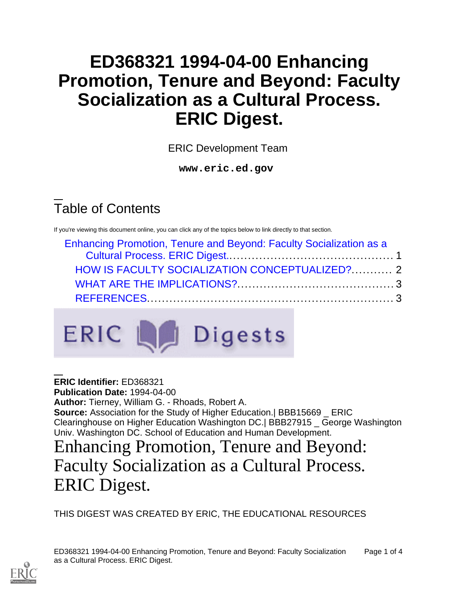## **ED368321 1994-04-00 Enhancing Promotion, Tenure and Beyond: Faculty Socialization as a Cultural Process. ERIC Digest.**

ERIC Development Team

**www.eric.ed.gov**

## Table of Contents

If you're viewing this document online, you can click any of the topics below to link directly to that section.

| Enhancing Promotion, Tenure and Beyond: Faculty Socialization as a |  |
|--------------------------------------------------------------------|--|
|                                                                    |  |
| HOW IS FACULTY SOCIALIZATION CONCEPTUALIZED? 2                     |  |
|                                                                    |  |
|                                                                    |  |
|                                                                    |  |



**ERIC Identifier:** ED368321 **Publication Date:** 1994-04-00 **Author:** Tierney, William G. - Rhoads, Robert A. **Source:** Association for the Study of Higher Education. | BBB15669 \_ ERIC Clearinghouse on Higher Education Washington DC.| BBB27915 \_ George Washington Univ. Washington DC. School of Education and Human Development. Enhancing Promotion, Tenure and Beyond:

# <span id="page-0-0"></span>Faculty Socialization as a Cultural Process. ERIC Digest.

THIS DIGEST WAS CREATED BY ERIC, THE EDUCATIONAL RESOURCES

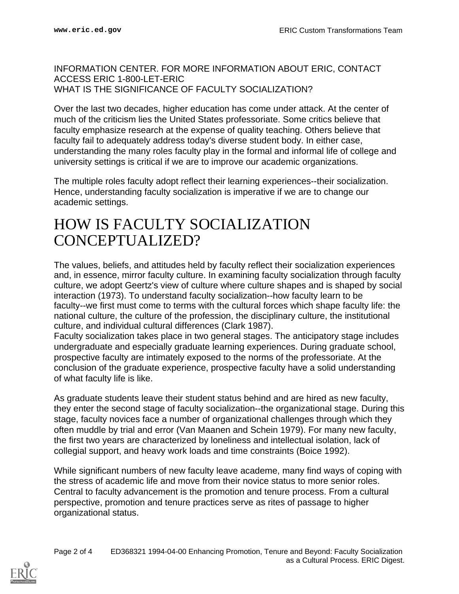#### INFORMATION CENTER. FOR MORE INFORMATION ABOUT ERIC, CONTACT ACCESS ERIC 1-800-LET-ERIC WHAT IS THE SIGNIFICANCE OF FACULTY SOCIALIZATION?

Over the last two decades, higher education has come under attack. At the center of much of the criticism lies the United States professoriate. Some critics believe that faculty emphasize research at the expense of quality teaching. Others believe that faculty fail to adequately address today's diverse student body. In either case, understanding the many roles faculty play in the formal and informal life of college and university settings is critical if we are to improve our academic organizations.

The multiple roles faculty adopt reflect their learning experiences--their socialization. Hence, understanding faculty socialization is imperative if we are to change our academic settings.

### <span id="page-1-0"></span>HOW IS FACULTY SOCIALIZATION CONCEPTUALIZED?

The values, beliefs, and attitudes held by faculty reflect their socialization experiences and, in essence, mirror faculty culture. In examining faculty socialization through faculty culture, we adopt Geertz's view of culture where culture shapes and is shaped by social interaction (1973). To understand faculty socialization--how faculty learn to be faculty--we first must come to terms with the cultural forces which shape faculty life: the national culture, the culture of the profession, the disciplinary culture, the institutional culture, and individual cultural differences (Clark 1987).

Faculty socialization takes place in two general stages. The anticipatory stage includes undergraduate and especially graduate learning experiences. During graduate school, prospective faculty are intimately exposed to the norms of the professoriate. At the conclusion of the graduate experience, prospective faculty have a solid understanding of what faculty life is like.

As graduate students leave their student status behind and are hired as new faculty, they enter the second stage of faculty socialization--the organizational stage. During this stage, faculty novices face a number of organizational challenges through which they often muddle by trial and error (Van Maanen and Schein 1979). For many new faculty, the first two years are characterized by loneliness and intellectual isolation, lack of collegial support, and heavy work loads and time constraints (Boice 1992).

While significant numbers of new faculty leave academe, many find ways of coping with the stress of academic life and move from their novice status to more senior roles. Central to faculty advancement is the promotion and tenure process. From a cultural perspective, promotion and tenure practices serve as rites of passage to higher organizational status.

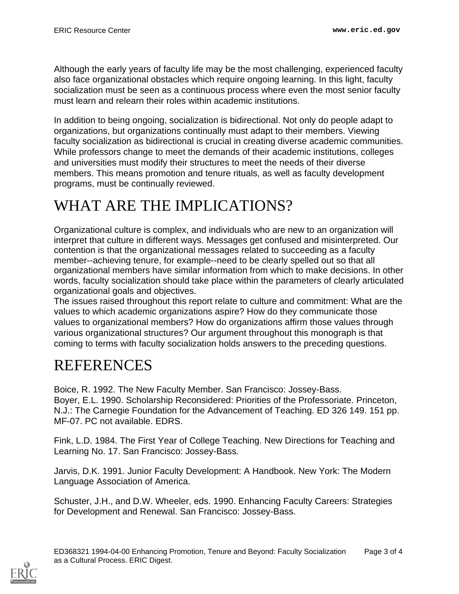Although the early years of faculty life may be the most challenging, experienced faculty also face organizational obstacles which require ongoing learning. In this light, faculty socialization must be seen as a continuous process where even the most senior faculty must learn and relearn their roles within academic institutions.

In addition to being ongoing, socialization is bidirectional. Not only do people adapt to organizations, but organizations continually must adapt to their members. Viewing faculty socialization as bidirectional is crucial in creating diverse academic communities. While professors change to meet the demands of their academic institutions, colleges and universities must modify their structures to meet the needs of their diverse members. This means promotion and tenure rituals, as well as faculty development programs, must be continually reviewed.

### <span id="page-2-0"></span>WHAT ARE THE IMPLICATIONS?

Organizational culture is complex, and individuals who are new to an organization will interpret that culture in different ways. Messages get confused and misinterpreted. Our contention is that the organizational messages related to succeeding as a faculty member--achieving tenure, for example--need to be clearly spelled out so that all organizational members have similar information from which to make decisions. In other words, faculty socialization should take place within the parameters of clearly articulated organizational goals and objectives.

The issues raised throughout this report relate to culture and commitment: What are the values to which academic organizations aspire? How do they communicate those values to organizational members? How do organizations affirm those values through various organizational structures? Our argument throughout this monograph is that coming to terms with faculty socialization holds answers to the preceding questions.

### <span id="page-2-1"></span>REFERENCES

Boice, R. 1992. The New Faculty Member. San Francisco: Jossey-Bass. Boyer, E.L. 1990. Scholarship Reconsidered: Priorities of the Professoriate. Princeton, N.J.: The Carnegie Foundation for the Advancement of Teaching. ED 326 149. 151 pp. MF-07. PC not available. EDRS.

Fink, L.D. 1984. The First Year of College Teaching. New Directions for Teaching and Learning No. 17. San Francisco: Jossey-Bass.

Jarvis, D.K. 1991. Junior Faculty Development: A Handbook. New York: The Modern Language Association of America.

Schuster, J.H., and D.W. Wheeler, eds. 1990. Enhancing Faculty Careers: Strategies for Development and Renewal. San Francisco: Jossey-Bass.